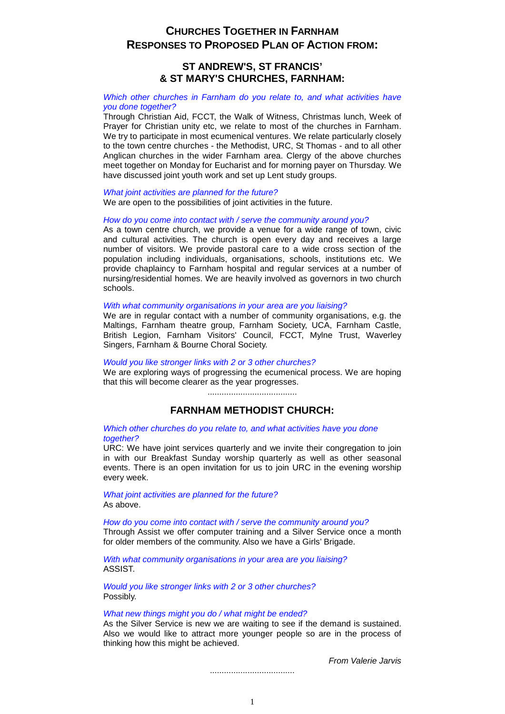# **CHURCHES TOGETHER IN FARNHAM RESPONSES TO PROPOSED PLAN OF ACTION FROM:**

## **ST ANDREW'S, ST FRANCIS' & ST MARY'S CHURCHES, FARNHAM:**

## *Which other churches in Farnham do you relate to, and what activities have you done together?*

Through Christian Aid, FCCT, the Walk of Witness, Christmas lunch, Week of Prayer for Christian unity etc, we relate to most of the churches in Farnham. We try to participate in most ecumenical ventures. We relate particularly closely to the town centre churches - the Methodist, URC, St Thomas - and to all other Anglican churches in the wider Farnham area. Clergy of the above churches meet together on Monday for Eucharist and for morning payer on Thursday. We have discussed joint youth work and set up Lent study groups.

### *What joint activities are planned for the future?*

We are open to the possibilities of joint activities in the future.

### *How do you come into contact with / serve the community around you?*

As a town centre church, we provide a venue for a wide range of town, civic and cultural activities. The church is open every day and receives a large number of visitors. We provide pastoral care to a wide cross section of the population including individuals, organisations, schools, institutions etc. We provide chaplaincy to Farnham hospital and regular services at a number of nursing/residential homes. We are heavily involved as governors in two church schools.

## *With what community organisations in your area are you liaising?*

We are in regular contact with a number of community organisations, e.g. the Maltings, Farnham theatre group, Farnham Society, UCA, Farnham Castle, British Legion, Farnham Visitors' Council, FCCT, Mylne Trust, Waverley Singers, Farnham & Bourne Choral Society.

### *Would you like stronger links with 2 or 3 other churches?*

We are exploring ways of progressing the ecumenical process. We are hoping that this will become clearer as the year progresses.

## **FARNHAM METHODIST CHURCH:**

### *Which other churches do you relate to, and what activities have you done together?*

URC: We have joint services quarterly and we invite their congregation to join in with our Breakfast Sunday worship quarterly as well as other seasonal events. There is an open invitation for us to join URC in the evening worship every week.

*What joint activities are planned for the future?* As above.

*How do you come into contact with / serve the community around you?* Through Assist we offer computer training and a Silver Service once a month for older members of the community. Also we have a Girls' Brigade.

*With what community organisations in your area are you liaising?* ASSIST.

*Would you like stronger links with 2 or 3 other churches?* Possibly.

### *What new things might you do / what might be ended?*

As the Silver Service is new we are waiting to see if the demand is sustained. Also we would like to attract more younger people so are in the process of thinking how this might be achieved.

*From Valerie Jarvis*

....................................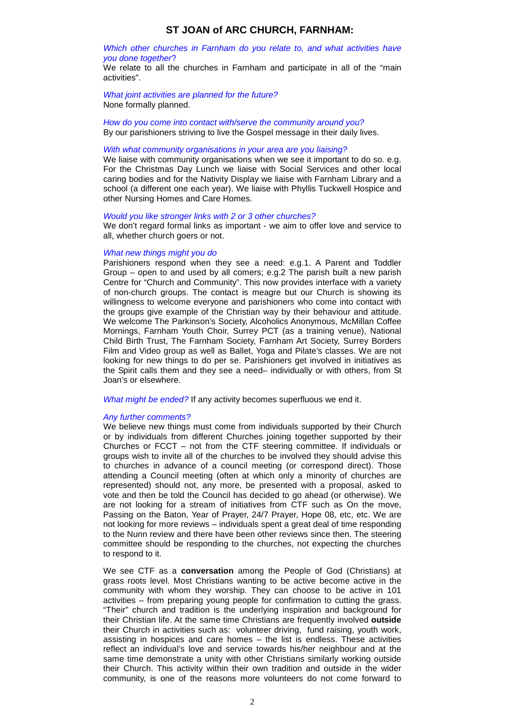## **ST JOAN of ARC CHURCH, FARNHAM:**

### *Which other churches in Farnham do you relate to, and what activities have you done together*?

We relate to all the churches in Farnham and participate in all of the "main activities".

*What joint activities are planned for the future?* None formally planned.

*How do you come into contact with/serve the community around you?* By our parishioners striving to live the Gospel message in their daily lives.

#### *With what community organisations in your area are you liaising?*

We liaise with community organisations when we see it important to do so. e.g. For the Christmas Day Lunch we liaise with Social Services and other local caring bodies and for the Nativity Display we liaise with Farnham Library and a school (a different one each year). We liaise with Phyllis Tuckwell Hospice and other Nursing Homes and Care Homes.

#### *Would you like stronger links with 2 or 3 other churches?*

We don't regard formal links as important - we aim to offer love and service to all, whether church goers or not.

### *What new things might you do*

Parishioners respond when they see a need: e.g.1. A Parent and Toddler Group – open to and used by all comers; e.g.2 The parish built a new parish Centre for "Church and Community". This now provides interface with a variety of non-church groups. The contact is meagre but our Church is showing its willingness to welcome everyone and parishioners who come into contact with the groups give example of the Christian way by their behaviour and attitude. We welcome The Parkinson's Society, Alcoholics Anonymous, McMillan Coffee Mornings, Farnham Youth Choir, Surrey PCT (as a training venue), National Child Birth Trust, The Farnham Society, Farnham Art Society, Surrey Borders Film and Video group as well as Ballet, Yoga and Pilate's classes. We are not looking for new things to do per se. Parishioners get involved in initiatives as the Spirit calls them and they see a need– individually or with others, from St Joan's or elsewhere.

*What might be ended?* If any activity becomes superfluous we end it.

### *Any further comments?*

We believe new things must come from individuals supported by their Church or by individuals from different Churches joining together supported by their Churches or FCCT – not from the CTF steering committee. If individuals or groups wish to invite all of the churches to be involved they should advise this to churches in advance of a council meeting (or correspond direct). Those attending a Council meeting (often at which only a minority of churches are represented) should not, any more, be presented with a proposal, asked to vote and then be told the Council has decided to go ahead (or otherwise). We are not looking for a stream of initiatives from CTF such as On the move, Passing on the Baton, Year of Prayer, 24/7 Prayer, Hope 08, etc, etc. We are not looking for more reviews – individuals spent a great deal of time responding to the Nunn review and there have been other reviews since then. The steering committee should be responding to the churches, not expecting the churches to respond to it.

We see CTF as a **conversation** among the People of God (Christians) at grass roots level. Most Christians wanting to be active become active in the community with whom they worship. They can choose to be active in 101 activities – from preparing young people for confirmation to cutting the grass. "Their" church and tradition is the underlying inspiration and background for their Christian life. At the same time Christians are frequently involved **outside** their Church in activities such as: volunteer driving, fund raising, youth work, assisting in hospices and care homes – the list is endless. These activities reflect an individual's love and service towards his/her neighbour and at the same time demonstrate a unity with other Christians similarly working outside their Church. This activity within their own tradition and outside in the wider community, is one of the reasons more volunteers do not come forward to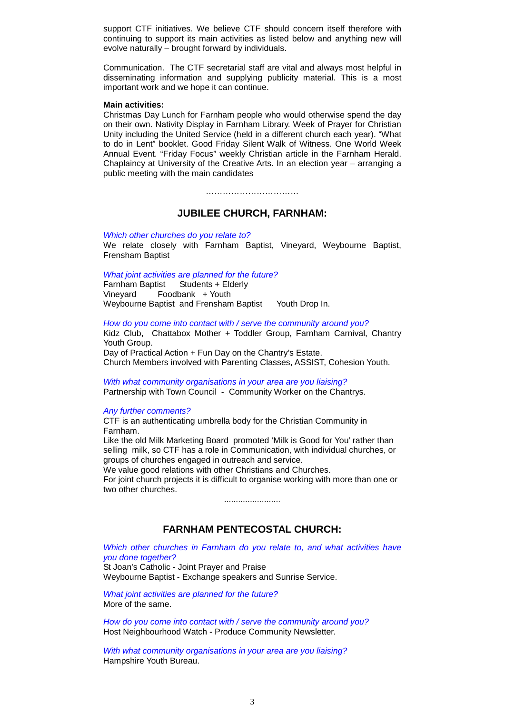support CTF initiatives. We believe CTF should concern itself therefore with continuing to support its main activities as listed below and anything new will evolve naturally – brought forward by individuals.

Communication. The CTF secretarial staff are vital and always most helpful in disseminating information and supplying publicity material. This is a most important work and we hope it can continue.

### **Main activities:**

Christmas Day Lunch for Farnham people who would otherwise spend the day on their own. Nativity Display in Farnham Library. Week of Prayer for Christian Unity including the United Service (held in a different church each year). "What to do in Lent" booklet. Good Friday Silent Walk of Witness. One World Week Annual Event. "Friday Focus" weekly Christian article in the Farnham Herald. Chaplaincy at University of the Creative Arts. In an election year – arranging a public meeting with the main candidates

……………………………

## **JUBILEE CHURCH, FARNHAM:**

#### *Which other churches do you relate to?*

We relate closely with Farnham Baptist, Vineyard, Weybourne Baptist, Frensham Baptist

### *What joint activities are planned for the future?*

Farnham Baptist Students + Elderly Vineyard Foodbank + Youth Weybourne Baptist and Frensham Baptist Youth Drop In.

#### *How do you come into contact with / serve the community around you?*

Kidz Club, Chattabox Mother + Toddler Group, Farnham Carnival, Chantry Youth Group.

Day of Practical Action + Fun Day on the Chantry's Estate. Church Members involved with Parenting Classes, ASSIST, Cohesion Youth.

*With what community organisations in your area are you liaising?* Partnership with Town Council - Community Worker on the Chantrys.

#### *Any further comments?*

CTF is an authenticating umbrella body for the Christian Community in Farnham.

Like the old Milk Marketing Board promoted 'Milk is Good for You' rather than selling milk, so CTF has a role in Communication, with individual churches, or groups of churches engaged in outreach and service.

We value good relations with other Christians and Churches.

For joint church projects it is difficult to organise working with more than one or two other churches.

........................

## **FARNHAM PENTECOSTAL CHURCH:**

*Which other churches in Farnham do you relate to, and what activities have you done together?*

St Joan's Catholic - Joint Prayer and Praise Weybourne Baptist - Exchange speakers and Sunrise Service.

*What joint activities are planned for the future?* More of the same.

*How do you come into contact with / serve the community around you?* Host Neighbourhood Watch - Produce Community Newsletter.

*With what community organisations in your area are you liaising?* Hampshire Youth Bureau.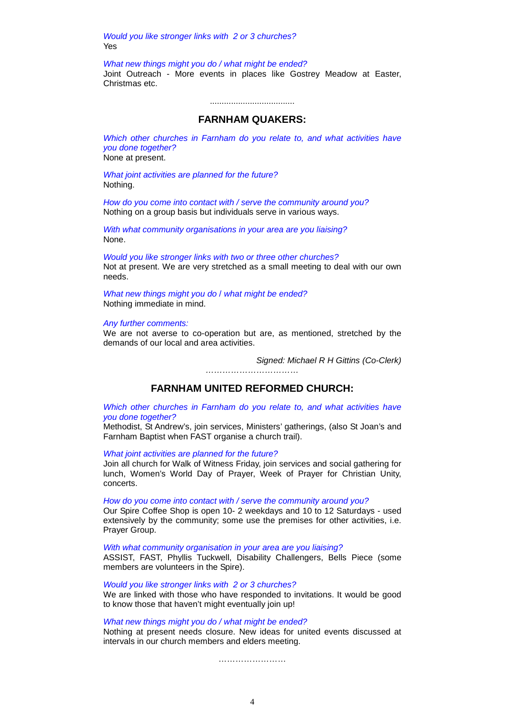*Would you like stronger links with 2 or 3 churches?* Yes

*What new things might you do / what might be ended?* Joint Outreach - More events in places like Gostrey Meadow at Easter, Christmas etc.

....................................

## **FARNHAM QUAKERS:**

*Which other churches in Farnham do you relate to, and what activities have you done together?*

None at present.

*What joint activities are planned for the future?* Nothing.

*How do you come into contact with / serve the community around you?* Nothing on a group basis but individuals serve in various ways.

*With what community organisations in your area are you liaising?* None.

*Would you like stronger links with two or three other churches?*  Not at present. We are very stretched as a small meeting to deal with our own needs.

*What new things might you do* / *what might be ended?* Nothing immediate in mind.

*Any further comments:*

We are not averse to co-operation but are, as mentioned, stretched by the demands of our local and area activities.

*Signed: Michael R H Gittins (Co-Clerk)*

*……………………………*

## **FARNHAM UNITED REFORMED CHURCH:**

*Which other churches in Farnham do you relate to, and what activities have you done together?*

Methodist, St Andrew's, join services, Ministers' gatherings, (also St Joan's and Farnham Baptist when FAST organise a church trail).

*What joint activities are planned for the future?*

Join all church for Walk of Witness Friday, join services and social gathering for lunch, Women's World Day of Prayer, Week of Prayer for Christian Unity, concerts.

*How do you come into contact with / serve the community around you?* 

Our Spire Coffee Shop is open 10- 2 weekdays and 10 to 12 Saturdays - used extensively by the community; some use the premises for other activities, i.e. Prayer Group.

*With what community organisation in your area are you liaising?*

ASSIST, FAST, Phyllis Tuckwell, Disability Challengers, Bells Piece (some members are volunteers in the Spire).

*Would you like stronger links with 2 or 3 churches?*

We are linked with those who have responded to invitations. It would be good to know those that haven't might eventually join up!

## *What new things might you do / what might be ended?*

Nothing at present needs closure. New ideas for united events discussed at intervals in our church members and elders meeting.

……………………………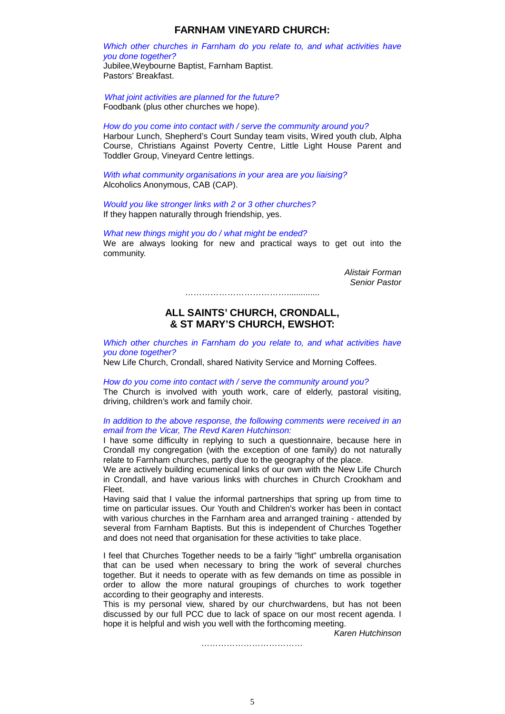## **FARNHAM VINEYARD CHURCH:**

## *Which other churches in Farnham do you relate to, and what activities have you done together?*

Jubilee,Weybourne Baptist, Farnham Baptist. Pastors' Breakfast.

*What joint activities are planned for the future?* Foodbank (plus other churches we hope).

### *How do you come into contact with / serve the community around you?*

Harbour Lunch, Shepherd's Court Sunday team visits, Wired youth club, Alpha Course, Christians Against Poverty Centre, Little Light House Parent and Toddler Group, Vineyard Centre lettings.

*With what community organisations in your area are you liaising?*  Alcoholics Anonymous, CAB (CAP).

*Would you like stronger links with 2 or 3 other churches?* If they happen naturally through friendship, yes.

#### *What new things might you do / what might be ended?*

We are always looking for new and practical ways to get out into the community.

> *Alistair Forman Senior Pastor*

………………………………..............

## **ALL SAINTS' CHURCH, CRONDALL, & ST MARY'S CHURCH, EWSHOT:**

*Which other churches in Farnham do you relate to, and what activities have you done together?*

New Life Church, Crondall, shared Nativity Service and Morning Coffees.

*How do you come into contact with / serve the community around you?* The Church is involved with youth work, care of elderly, pastoral visiting, driving, children's work and family choir.

### *In addition to the above response, the following comments were received in an email from the Vicar, The Revd Karen Hutchinson:*

I have some difficulty in replying to such a questionnaire, because here in Crondall my congregation (with the exception of one family) do not naturally relate to Farnham churches, partly due to the geography of the place.

We are actively building ecumenical links of our own with the New Life Church in Crondall, and have various links with churches in Church Crookham and Fleet.

Having said that I value the informal partnerships that spring up from time to time on particular issues. Our Youth and Children's worker has been in contact with various churches in the Farnham area and arranged training - attended by several from Farnham Baptists. But this is independent of Churches Together and does not need that organisation for these activities to take place.

I feel that Churches Together needs to be a fairly "light" umbrella organisation that can be used when necessary to bring the work of several churches together. But it needs to operate with as few demands on time as possible in order to allow the more natural groupings of churches to work together according to their geography and interests.

This is my personal view, shared by our churchwardens, but has not been discussed by our full PCC due to lack of space on our most recent agenda. I hope it is helpful and wish you well with the forthcoming meeting.

*Karen Hutchinson*

*………………………………*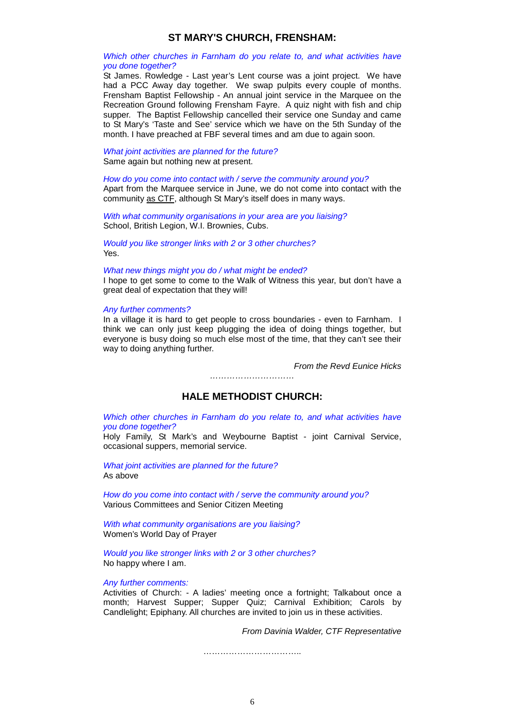## **ST MARY'S CHURCH, FRENSHAM:**

### *Which other churches in Farnham do you relate to, and what activities have you done together?*

St James. Rowledge - Last year's Lent course was a joint project. We have had a PCC Away day together. We swap pulpits every couple of months. Frensham Baptist Fellowship - An annual joint service in the Marquee on the Recreation Ground following Frensham Fayre. A quiz night with fish and chip supper. The Baptist Fellowship cancelled their service one Sunday and came to St Mary's 'Taste and See' service which we have on the 5th Sunday of the month. I have preached at FBF several times and am due to again soon.

*What joint activities are planned for the future?* Same again but nothing new at present.

## *How do you come into contact with / serve the community around you?*

Apart from the Marquee service in June, we do not come into contact with the community as CTF, although St Mary's itself does in many ways.

*With what community organisations in your area are you liaising?* School, British Legion, W.I. Brownies, Cubs.

*Would you like stronger links with 2 or 3 other churches?* Yes.

#### *What new things might you do / what might be ended?*

I hope to get some to come to the Walk of Witness this year, but don't have a great deal of expectation that they will!

## *Any further comments?*

In a village it is hard to get people to cross boundaries - even to Farnham. I think we can only just keep plugging the idea of doing things together, but everyone is busy doing so much else most of the time, that they can't see their way to doing anything further.

*From the Revd Eunice Hicks*

## **HALE METHODIST CHURCH:**

*…………………………*

*Which other churches in Farnham do you relate to, and what activities have you done together?*

Holy Family, St Mark's and Weybourne Baptist - joint Carnival Service, occasional suppers, memorial service.

*What joint activities are planned for the future?* As above

*How do you come into contact with / serve the community around you?* Various Committees and Senior Citizen Meeting

*With what community organisations are you liaising?* Women's World Day of Prayer

*Would you like stronger links with 2 or 3 other churches?* No happy where I am.

### *Any further comments:*

Activities of Church: - A ladies' meeting once a fortnight; Talkabout once a month; Harvest Supper; Supper Quiz; Carnival Exhibition; Carols by Candlelight; Epiphany. All churches are invited to join us in these activities.

*From Davinia Walder, CTF Representative*

…………………………………………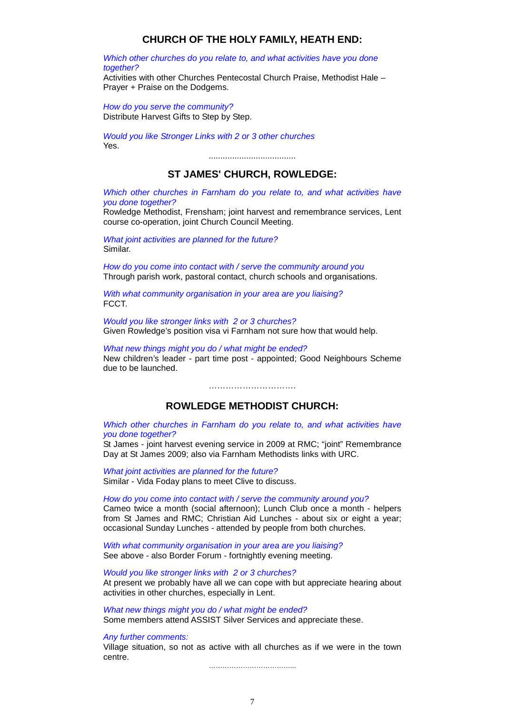## **CHURCH OF THE HOLY FAMILY, HEATH END:**

*Which other churches do you relate to, and what activities have you done together?*

Activities with other Churches Pentecostal Church Praise, Methodist Hale – Prayer + Praise on the Dodgems.

*How do you serve the community?* Distribute Harvest Gifts to Step by Step.

*Would you like Stronger Links with 2 or 3 other churches* Yes.

.....................................

## **ST JAMES' CHURCH, ROWLEDGE:**

*Which other churches in Farnham do you relate to, and what activities have you done together?*

Rowledge Methodist, Frensham; joint harvest and remembrance services, Lent course co-operation, joint Church Council Meeting.

*What joint activities are planned for the future?* Similar.

*How do you come into contact with / serve the community around you* Through parish work, pastoral contact, church schools and organisations.

*With what community organisation in your area are you liaising?* FCCT.

*Would you like stronger links with 2 or 3 churches?* Given Rowledge's position visa vi Farnham not sure how that would help.

*What new things might you do / what might be ended?* New children's leader - part time post - appointed; Good Neighbours Scheme due to be launched.

**ROWLEDGE METHODIST CHURCH:**

………………………….

*Which other churches in Farnham do you relate to, and what activities have you done together?*

St James - joint harvest evening service in 2009 at RMC; "joint" Remembrance Day at St James 2009; also via Farnham Methodists links with URC.

*What joint activities are planned for the future?* Similar - Vida Foday plans to meet Clive to discuss.

*How do you come into contact with / serve the community around you?* Cameo twice a month (social afternoon); Lunch Club once a month - helpers from St James and RMC; Christian Aid Lunches - about six or eight a year; occasional Sunday Lunches - attended by people from both churches.

*With what community organisation in your area are you liaising?* See above - also Border Forum - fortnightly evening meeting.

*Would you like stronger links with 2 or 3 churches?* At present we probably have all we can cope with but appreciate hearing about activities in other churches, especially in Lent.

*What new things might you do / what might be ended?* Some members attend ASSIST Silver Services and appreciate these.

*Any further comments:*

Village situation, so not as active with all churches as if we were in the town centre.

……………………………………………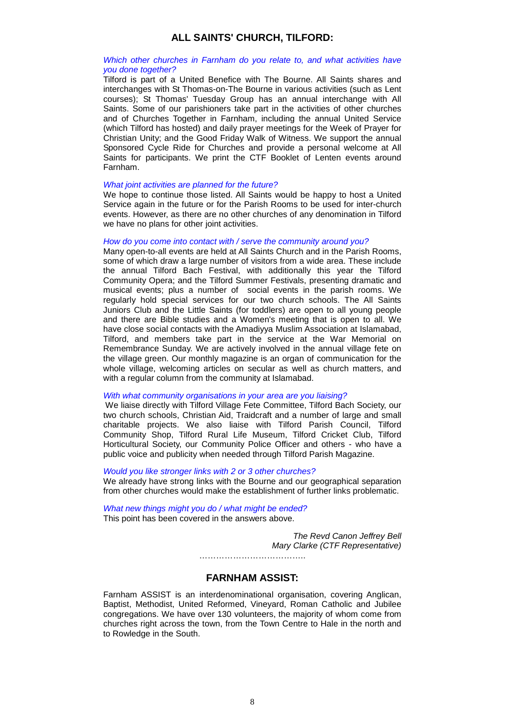## **ALL SAINTS' CHURCH, TILFORD:**

## *Which other churches in Farnham do you relate to, and what activities have you done together?*

Tilford is part of a United Benefice with The Bourne. All Saints shares and interchanges with St Thomas-on-The Bourne in various activities (such as Lent courses); St Thomas' Tuesday Group has an annual interchange with All Saints. Some of our parishioners take part in the activities of other churches and of Churches Together in Farnham, including the annual United Service (which Tilford has hosted) and daily prayer meetings for the Week of Prayer for Christian Unity; and the Good Friday Walk of Witness. We support the annual Sponsored Cycle Ride for Churches and provide a personal welcome at All Saints for participants. We print the CTF Booklet of Lenten events around Farnham.

### *What joint activities are planned for the future?*

We hope to continue those listed. All Saints would be happy to host a United Service again in the future or for the Parish Rooms to be used for inter-church events. However, as there are no other churches of any denomination in Tilford we have no plans for other joint activities.

### *How do you come into contact with / serve the community around you?*

Many open-to-all events are held at All Saints Church and in the Parish Rooms, some of which draw a large number of visitors from a wide area. These include the annual Tilford Bach Festival, with additionally this year the Tilford Community Opera; and the Tilford Summer Festivals, presenting dramatic and musical events; plus a number of social events in the parish rooms. We regularly hold special services for our two church schools. The All Saints Juniors Club and the Little Saints (for toddlers) are open to all young people and there are Bible studies and a Women's meeting that is open to all. We have close social contacts with the Amadiyya Muslim Association at Islamabad, Tilford, and members take part in the service at the War Memorial on Remembrance Sunday. We are actively involved in the annual village fete on the village green. Our monthly magazine is an organ of communication for the whole village, welcoming articles on secular as well as church matters, and with a regular column from the community at Islamabad.

### *With what community organisations in your area are you liaising?*

We liaise directly with Tilford Village Fete Committee, Tilford Bach Society, our two church schools, Christian Aid, Traidcraft and a number of large and small charitable projects. We also liaise with Tilford Parish Council, Tilford Community Shop, Tilford Rural Life Museum, Tilford Cricket Club, Tilford Horticultural Society, our Community Police Officer and others - who have a public voice and publicity when needed through Tilford Parish Magazine.

### *Would you like stronger links with 2 or 3 other churches?*

We already have strong links with the Bourne and our geographical separation from other churches would make the establishment of further links problematic.

*What new things might you do / what might be ended?* This point has been covered in the answers above.

> *The Revd Canon Jeffrey Bell Mary Clarke (CTF Representative)* ………………………………..

## **FARNHAM ASSIST:**

Farnham ASSIST is an interdenominational organisation, covering Anglican, Baptist, Methodist, United Reformed, Vineyard, Roman Catholic and Jubilee congregations. We have over 130 volunteers, the majority of whom come from churches right across the town, from the Town Centre to Hale in the north and to Rowledge in the South.